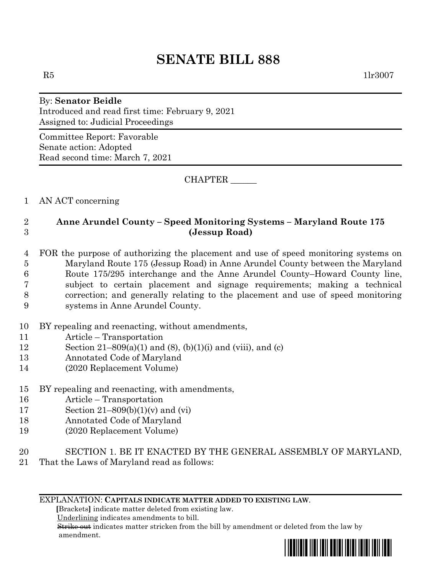# **SENATE BILL 888**

 $R5$  1lr3007

#### By: **Senator Beidle** Introduced and read first time: February 9, 2021 Assigned to: Judicial Proceedings

Committee Report: Favorable Senate action: Adopted Read second time: March 7, 2021

CHAPTER \_\_\_\_\_\_

## 1 AN ACT concerning

### 2 **Anne Arundel County – Speed Monitoring Systems – Maryland Route 175** 3 **(Jessup Road)**

#### 4 FOR the purpose of authorizing the placement and use of speed monitoring systems on 5 Maryland Route 175 (Jessup Road) in Anne Arundel County between the Maryland 6 Route 175/295 interchange and the Anne Arundel County–Howard County line, 7 subject to certain placement and signage requirements; making a technical 8 correction; and generally relating to the placement and use of speed monitoring 9 systems in Anne Arundel County.

- 10 BY repealing and reenacting, without amendments,
- 11 Article Transportation
- 12 Section 21–809(a)(1) and (8), (b)(1)(i) and (viii), and (c)
- 13 Annotated Code of Maryland
- 14 (2020 Replacement Volume)
- 15 BY repealing and reenacting, with amendments,
- 16 Article Transportation
- 17 Section  $21-809(b)(1)(v)$  and  $(vi)$
- 18 Annotated Code of Maryland
- 19 (2020 Replacement Volume)
- 20 SECTION 1. BE IT ENACTED BY THE GENERAL ASSEMBLY OF MARYLAND,
- 21 That the Laws of Maryland read as follows:

#### EXPLANATION: **CAPITALS INDICATE MATTER ADDED TO EXISTING LAW**.

 **[**Brackets**]** indicate matter deleted from existing law.

Underlining indicates amendments to bill.

 Strike out indicates matter stricken from the bill by amendment or deleted from the law by amendment.

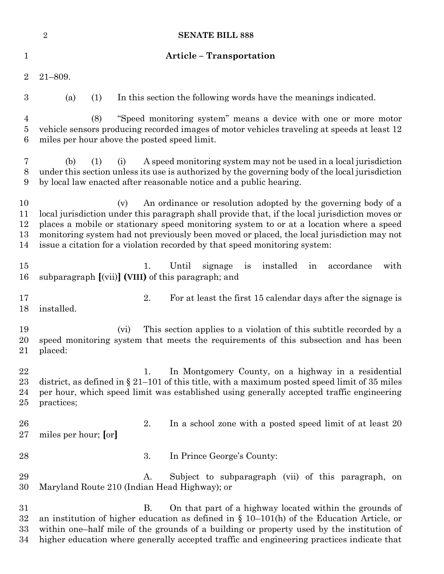|                                       | <b>SENATE BILL 888</b><br>$\boldsymbol{2}$                                                                                                                                                                                                                                                                                                                                                                                                   |  |
|---------------------------------------|----------------------------------------------------------------------------------------------------------------------------------------------------------------------------------------------------------------------------------------------------------------------------------------------------------------------------------------------------------------------------------------------------------------------------------------------|--|
| 1                                     | <b>Article - Transportation</b>                                                                                                                                                                                                                                                                                                                                                                                                              |  |
| $\overline{2}$                        | $21 - 809.$                                                                                                                                                                                                                                                                                                                                                                                                                                  |  |
| $\boldsymbol{3}$                      | In this section the following words have the meanings indicated.<br>(a)<br>(1)                                                                                                                                                                                                                                                                                                                                                               |  |
| $\overline{4}$<br>$\overline{5}$<br>6 | "Speed monitoring system" means a device with one or more motor<br>(8)<br>vehicle sensors producing recorded images of motor vehicles traveling at speeds at least 12<br>miles per hour above the posted speed limit.                                                                                                                                                                                                                        |  |
| 7<br>8<br>9                           | A speed monitoring system may not be used in a local jurisdiction<br>(b)<br>(1)<br>(i)<br>under this section unless its use is authorized by the governing body of the local jurisdiction<br>by local law enacted after reasonable notice and a public hearing.                                                                                                                                                                              |  |
| 10<br>11<br>12<br>13<br>14            | An ordinance or resolution adopted by the governing body of a<br>(v)<br>local jurisdiction under this paragraph shall provide that, if the local jurisdiction moves or<br>places a mobile or stationary speed monitoring system to or at a location where a speed<br>monitoring system had not previously been moved or placed, the local jurisdiction may not<br>issue a citation for a violation recorded by that speed monitoring system: |  |
| $15\,$<br>16                          | 1.<br>Until<br>installed<br>accordance<br>with<br>signage<br>is<br>in<br>subparagraph [(vii)] (VIII) of this paragraph; and                                                                                                                                                                                                                                                                                                                  |  |
| 17<br>18                              | 2.<br>For at least the first 15 calendar days after the signage is<br>installed.                                                                                                                                                                                                                                                                                                                                                             |  |
| 19<br>20<br>21                        | This section applies to a violation of this subtitle recorded by a<br>(vi)<br>speed monitoring system that meets the requirements of this subsection and has been<br>placed:                                                                                                                                                                                                                                                                 |  |
| 22<br>23<br>24<br>$25\,$              | In Montgomery County, on a highway in a residential<br>1.<br>district, as defined in $\S 21-101$ of this title, with a maximum posted speed limit of 35 miles<br>per hour, which speed limit was established using generally accepted traffic engineering<br>practices;                                                                                                                                                                      |  |
| 26<br>$27\,$                          | 2.<br>In a school zone with a posted speed limit of at least 20<br>miles per hour; [or]                                                                                                                                                                                                                                                                                                                                                      |  |
| 28                                    | 3.<br>In Prince George's County:                                                                                                                                                                                                                                                                                                                                                                                                             |  |
| 29<br>30                              | Subject to subparagraph (vii) of this paragraph, on<br>Α.<br>Maryland Route 210 (Indian Head Highway); or                                                                                                                                                                                                                                                                                                                                    |  |
| $31\,$<br>32<br>$33\,$<br>34          | <b>B.</b><br>On that part of a highway located within the grounds of<br>an institution of higher education as defined in $\S$ 10–101(h) of the Education Article, or<br>within one-half mile of the grounds of a building or property used by the institution of<br>higher education where generally accepted traffic and engineering practices indicate that                                                                                |  |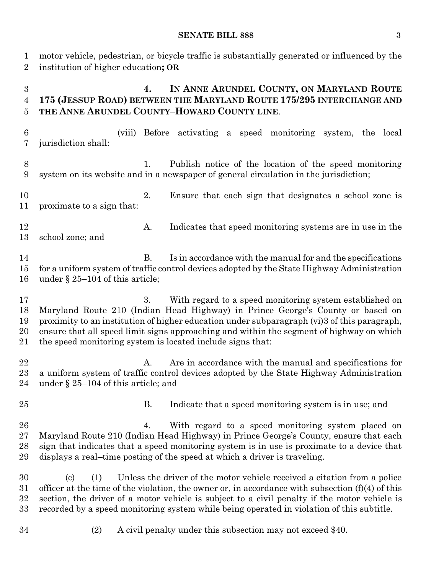#### **SENATE BILL 888** 3

motor vehicle, pedestrian, or bicycle traffic is substantially generated or influenced by the

institution of higher education**; OR**

 **4. IN ANNE ARUNDEL COUNTY, ON MARYLAND ROUTE 175 (JESSUP ROAD) BETWEEN THE MARYLAND ROUTE 175/295 INTERCHANGE AND THE ANNE ARUNDEL COUNTY–HOWARD COUNTY LINE**. (viii) Before activating a speed monitoring system, the local jurisdiction shall: 1. Publish notice of the location of the speed monitoring system on its website and in a newspaper of general circulation in the jurisdiction; 2. Ensure that each sign that designates a school zone is proximate to a sign that: 12 A. Indicates that speed monitoring systems are in use in the school zone; and 14 B. Is in accordance with the manual for and the specifications for a uniform system of traffic control devices adopted by the State Highway Administration under § 25–104 of this article; 3. With regard to a speed monitoring system established on Maryland Route 210 (Indian Head Highway) in Prince George's County or based on proximity to an institution of higher education under subparagraph (vi)3 of this paragraph, ensure that all speed limit signs approaching and within the segment of highway on which the speed monitoring system is located include signs that: 22 A. Are in accordance with the manual and specifications for a uniform system of traffic control devices adopted by the State Highway Administration under § 25–104 of this article; and B. Indicate that a speed monitoring system is in use; and 4. With regard to a speed monitoring system placed on Maryland Route 210 (Indian Head Highway) in Prince George's County, ensure that each sign that indicates that a speed monitoring system is in use is proximate to a device that displays a real–time posting of the speed at which a driver is traveling. (c) (1) Unless the driver of the motor vehicle received a citation from a police officer at the time of the violation, the owner or, in accordance with subsection (f)(4) of this section, the driver of a motor vehicle is subject to a civil penalty if the motor vehicle is recorded by a speed monitoring system while being operated in violation of this subtitle. (2) A civil penalty under this subsection may not exceed \$40.